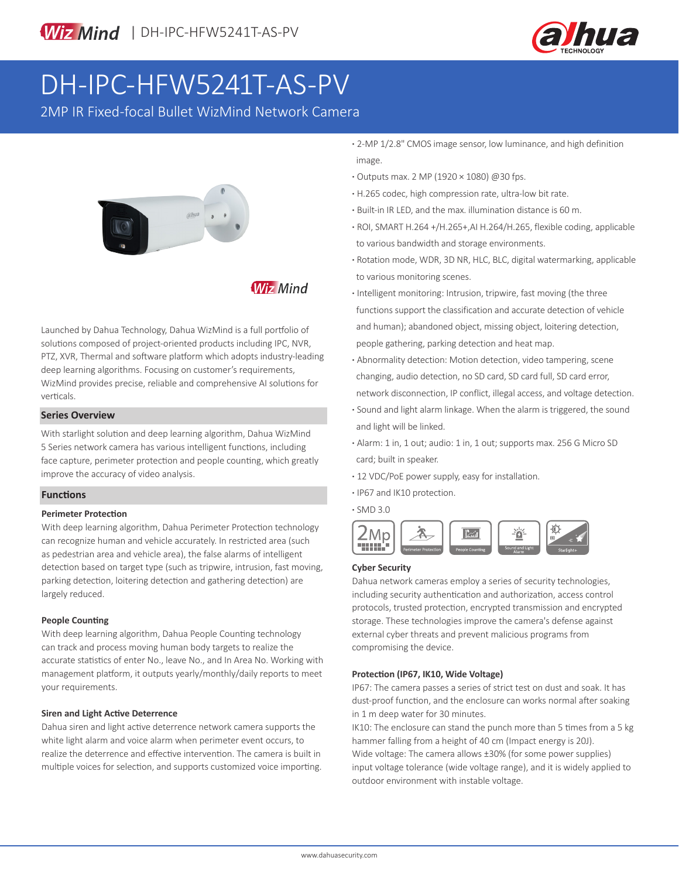

# DH-IPC-HFW5241T-AS-PV

2MP IR Fixed-focal Bullet WizMind Network Camera



### **Wiz Mind**

Launched by Dahua Technology, Dahua WizMind is a full portfolio of solutions composed of project-oriented products including IPC, NVR, PTZ, XVR, Thermal and software platform which adopts industry-leading deep learning algorithms. Focusing on customer's requirements, WizMind provides precise, reliable and comprehensive AI solutions for verticals.

#### **Series Overview**

With starlight solution and deep learning algorithm, Dahua WizMind 5 Series network camera has various intelligent functions, including face capture, perimeter protection and people counting, which greatly improve the accuracy of video analysis.

#### **Functions**

#### **Perimeter Protection**

With deep learning algorithm, Dahua Perimeter Protection technology can recognize human and vehicle accurately. In restricted area (such as pedestrian area and vehicle area), the false alarms of intelligent detection based on target type (such as tripwire, intrusion, fast moving, parking detection, loitering detection and gathering detection) are largely reduced.

#### **People Counting**

With deep learning algorithm, Dahua People Counting technology can track and process moving human body targets to realize the accurate statistics of enter No., leave No., and In Area No. Working with management platform, it outputs yearly/monthly/daily reports to meet your requirements.

#### **Siren and Light Active Deterrence**

Dahua siren and light active deterrence network camera supports the white light alarm and voice alarm when perimeter event occurs, to realize the deterrence and effective intervention. The camera is built in multiple voices for selection, and supports customized voice importing.

- **·** 2-MP 1/2.8" CMOS image sensor, low luminance, and high definition image.
- **·** Outputs max. 2 MP (1920 × 1080) @30 fps.
- **·** H.265 codec, high compression rate, ultra-low bit rate.
- **·** Built-in IR LED, and the max. illumination distance is 60 m.
- **·** ROI, SMART H.264 +/H.265+,AI H.264/H.265, flexible coding, applicable to various bandwidth and storage environments.
- **·** Rotation mode, WDR, 3D NR, HLC, BLC, digital watermarking, applicable to various monitoring scenes.
- **·** Intelligent monitoring: Intrusion, tripwire, fast moving (the three functions support the classification and accurate detection of vehicle and human); abandoned object, missing object, loitering detection, people gathering, parking detection and heat map.
- **·** Abnormality detection: Motion detection, video tampering, scene changing, audio detection, no SD card, SD card full, SD card error, network disconnection, IP conflict, illegal access, and voltage detection.
- **·** Sound and light alarm linkage. When the alarm is triggered, the sound and light will be linked.
- **·** Alarm: 1 in, 1 out; audio: 1 in, 1 out; supports max. 256 G Micro SD card; built in speaker.
- **·** 12 VDC/PoE power supply, easy for installation.
- **·** IP67 and IK10 protection.
- **·** SMD 3.0



#### **Cyber Security**

Dahua network cameras employ a series of security technologies, including security authentication and authorization, access control protocols, trusted protection, encrypted transmission and encrypted storage. These technologies improve the camera's defense against external cyber threats and prevent malicious programs from compromising the device.

#### **Protection (IP67, IK10, Wide Voltage)**

IP67: The camera passes a series of strict test on dust and soak. It has dust-proof function, and the enclosure can works normal after soaking in 1 m deep water for 30 minutes.

IK10: The enclosure can stand the punch more than 5 times from a 5 kg hammer falling from a height of 40 cm (Impact energy is 20J). Wide voltage: The camera allows ±30% (for some power supplies) input voltage tolerance (wide voltage range), and it is widely applied to outdoor environment with instable voltage.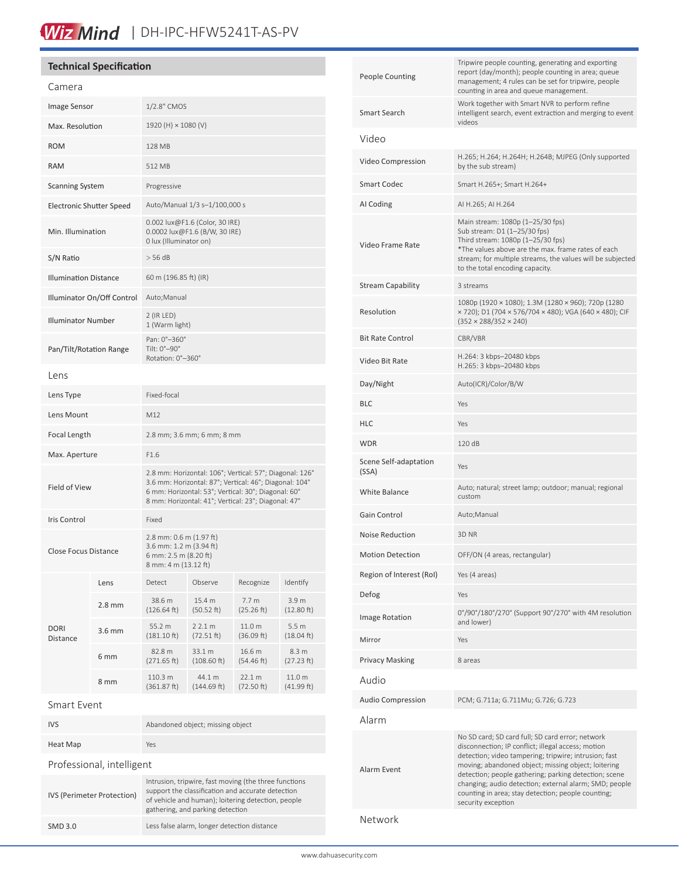## Wiz Mind | DH-IPC-HFW5241T-AS-PV

#### **Technical Specification**

| Camera                       |                  |                                                                                                                                                                                                                                 |                          |                      |                                |
|------------------------------|------------------|---------------------------------------------------------------------------------------------------------------------------------------------------------------------------------------------------------------------------------|--------------------------|----------------------|--------------------------------|
| Image Sensor                 |                  | 1/2.8" CMOS                                                                                                                                                                                                                     |                          |                      |                                |
| Max. Resolution              |                  | 1920 (H) × 1080 (V)                                                                                                                                                                                                             |                          |                      |                                |
| <b>ROM</b>                   |                  | <b>128 MB</b>                                                                                                                                                                                                                   |                          |                      |                                |
| <b>RAM</b>                   |                  | 512 MB                                                                                                                                                                                                                          |                          |                      |                                |
| <b>Scanning System</b>       |                  | Progressive                                                                                                                                                                                                                     |                          |                      |                                |
| Electronic Shutter Speed     |                  | Auto/Manual 1/3 s-1/100,000 s                                                                                                                                                                                                   |                          |                      |                                |
| Min. Illumination            |                  | 0.002 lux@F1.6 (Color, 30 IRE)<br>0.0002 lux@F1.6 (B/W, 30 IRE)<br>0 lux (Illuminator on)                                                                                                                                       |                          |                      |                                |
| S/N Ratio                    |                  | $>$ 56 dB                                                                                                                                                                                                                       |                          |                      |                                |
| <b>Illumination Distance</b> |                  | 60 m (196.85 ft) (IR)                                                                                                                                                                                                           |                          |                      |                                |
| Illuminator On/Off Control   |                  | Auto; Manual                                                                                                                                                                                                                    |                          |                      |                                |
| <b>Illuminator Number</b>    |                  | $2$ (IR LED)<br>1 (Warm light)                                                                                                                                                                                                  |                          |                      |                                |
| Pan/Tilt/Rotation Range      |                  | Pan: 0°-360°<br>Tilt: 0°-90°<br>Rotation: 0°-360°                                                                                                                                                                               |                          |                      |                                |
| l ens                        |                  |                                                                                                                                                                                                                                 |                          |                      |                                |
| Lens Type                    |                  | Fixed-focal                                                                                                                                                                                                                     |                          |                      |                                |
| Lens Mount                   |                  | M12                                                                                                                                                                                                                             |                          |                      |                                |
| Focal Length                 |                  | 2.8 mm; 3.6 mm; 6 mm; 8 mm                                                                                                                                                                                                      |                          |                      |                                |
| Max. Aperture                |                  | F1.6                                                                                                                                                                                                                            |                          |                      |                                |
| <b>Field of View</b>         |                  | 2.8 mm: Horizontal: 106°; Vertical: 57°; Diagonal: 126°<br>3.6 mm: Horizontal: 87°; Vertical: 46°; Diagonal: 104°<br>6 mm: Horizontal: 53°; Vertical: 30°; Diagonal: 60°<br>8 mm: Horizontal: 41°; Vertical: 23°; Diagonal: 47° |                          |                      |                                |
| Iris Control                 |                  | Fixed                                                                                                                                                                                                                           |                          |                      |                                |
| <b>Close Focus Distance</b>  |                  | 2.8 mm: 0.6 m (1.97 ft)<br>3.6 mm: 1.2 m (3.94 ft)<br>6 mm: 2.5 m (8.20 ft)<br>8 mm: 4 m (13.12 ft)                                                                                                                             |                          |                      |                                |
|                              | Lens             | Detect                                                                                                                                                                                                                          | Observe                  | Recognize            | Identify                       |
|                              | $2.8 \text{ mm}$ | 38.6 m<br>(126.64 ft)                                                                                                                                                                                                           | 15.4 m<br>(50.52 ft)     | 7.7 m<br>(25.26 ft)  | 3.9 m<br>(12.80 ft)            |
| <b>DORI</b><br>Distance      | $3.6$ mm         | 55.2 m<br>$(181.10 \text{ ft})$                                                                                                                                                                                                 | 22.1 m<br>(72.51 ft)     | 11.0 m<br>(36.09 ft) | 5.5 <sub>m</sub><br>(18.04 ft) |
|                              | 6 <sub>mm</sub>  | 82.8 m<br>(271.65 ft)                                                                                                                                                                                                           | 33.1 m<br>$(108.60)$ ft) | 16.6 m<br>(54.46 ft) | 8.3 m<br>(27.23 ft)            |
|                              | 8 mm             | 110.3 m<br>(361.87 ft)                                                                                                                                                                                                          | 44.1 m<br>(144.69 ft)    | 22.1 m<br>(72.50 ft) | 11.0 m<br>(41.99 ft)           |
| Smart Event                  |                  |                                                                                                                                                                                                                                 |                          |                      |                                |

| <b>IVS</b>                 | Abandoned object; missing object                                                                                                                                                                     |  |  |  |
|----------------------------|------------------------------------------------------------------------------------------------------------------------------------------------------------------------------------------------------|--|--|--|
| Heat Map                   | Yes                                                                                                                                                                                                  |  |  |  |
| Professional, intelligent  |                                                                                                                                                                                                      |  |  |  |
| IVS (Perimeter Protection) | Intrusion, tripwire, fast moving (the three functions<br>support the classification and accurate detection<br>of vehicle and human); loitering detection, people<br>gathering, and parking detection |  |  |  |
| SMD 3.0                    | Less false alarm, longer detection distance                                                                                                                                                          |  |  |  |

| <b>People Counting</b>         | Tripwire people counting, generating and exporting<br>report (day/month); people counting in area; queue<br>management; 4 rules can be set for tripwire, people<br>counting in area and queue management.                                                                                                                                                                                                             |  |  |
|--------------------------------|-----------------------------------------------------------------------------------------------------------------------------------------------------------------------------------------------------------------------------------------------------------------------------------------------------------------------------------------------------------------------------------------------------------------------|--|--|
| Smart Search                   | Work together with Smart NVR to perform refine<br>intelligent search, event extraction and merging to event<br>videos                                                                                                                                                                                                                                                                                                 |  |  |
| Video                          |                                                                                                                                                                                                                                                                                                                                                                                                                       |  |  |
| Video Compression              | H.265; H.264; H.264H; H.264B; MJPEG (Only supported<br>by the sub stream)                                                                                                                                                                                                                                                                                                                                             |  |  |
| Smart Codec                    | Smart H.265+; Smart H.264+                                                                                                                                                                                                                                                                                                                                                                                            |  |  |
| AI Coding                      | AI H.265; AI H.264                                                                                                                                                                                                                                                                                                                                                                                                    |  |  |
| Video Frame Rate               | Main stream: 1080p (1-25/30 fps)<br>Sub stream: D1 (1-25/30 fps)<br>Third stream: 1080p (1-25/30 fps)<br>*The values above are the max. frame rates of each<br>stream; for multiple streams, the values will be subjected<br>to the total encoding capacity.                                                                                                                                                          |  |  |
| <b>Stream Capability</b>       | 3 streams                                                                                                                                                                                                                                                                                                                                                                                                             |  |  |
| Resolution                     | 1080p (1920 × 1080); 1.3M (1280 × 960); 720p (1280<br>× 720); D1 (704 × 576/704 × 480); VGA (640 × 480); CIF<br>$(352 \times 288/352 \times 240)$                                                                                                                                                                                                                                                                     |  |  |
| <b>Bit Rate Control</b>        | CBR/VBR                                                                                                                                                                                                                                                                                                                                                                                                               |  |  |
| Video Bit Rate                 | H.264: 3 kbps-20480 kbps<br>H.265: 3 kbps-20480 kbps                                                                                                                                                                                                                                                                                                                                                                  |  |  |
| Day/Night                      | Auto(ICR)/Color/B/W                                                                                                                                                                                                                                                                                                                                                                                                   |  |  |
| BLC                            | Yes                                                                                                                                                                                                                                                                                                                                                                                                                   |  |  |
| HLC                            | Yes                                                                                                                                                                                                                                                                                                                                                                                                                   |  |  |
| WDR                            | 120 dB                                                                                                                                                                                                                                                                                                                                                                                                                |  |  |
| Scene Self-adaptation<br>(SSA) | Yes                                                                                                                                                                                                                                                                                                                                                                                                                   |  |  |
| <b>White Balance</b>           | Auto; natural; street lamp; outdoor; manual; regional<br>custom                                                                                                                                                                                                                                                                                                                                                       |  |  |
| Gain Control                   | Auto; Manual                                                                                                                                                                                                                                                                                                                                                                                                          |  |  |
| Noise Reduction                | 3D NR                                                                                                                                                                                                                                                                                                                                                                                                                 |  |  |
| <b>Motion Detection</b>        | OFF/ON (4 areas, rectangular)                                                                                                                                                                                                                                                                                                                                                                                         |  |  |
| Region of Interest (RoI)       | Yes (4 areas)                                                                                                                                                                                                                                                                                                                                                                                                         |  |  |
| Defog                          | Yes                                                                                                                                                                                                                                                                                                                                                                                                                   |  |  |
| <b>Image Rotation</b>          | 0°/90°/180°/270° (Support 90°/270° with 4M resolution<br>and lower)                                                                                                                                                                                                                                                                                                                                                   |  |  |
| Mirror                         | Yes                                                                                                                                                                                                                                                                                                                                                                                                                   |  |  |
| <b>Privacy Masking</b>         | 8 areas                                                                                                                                                                                                                                                                                                                                                                                                               |  |  |
| Audio                          |                                                                                                                                                                                                                                                                                                                                                                                                                       |  |  |
| Audio Compression              | PCM; G.711a; G.711Mu; G.726; G.723                                                                                                                                                                                                                                                                                                                                                                                    |  |  |
| Alarm                          |                                                                                                                                                                                                                                                                                                                                                                                                                       |  |  |
| Alarm Event                    | No SD card; SD card full; SD card error; network<br>disconnection; IP conflict; illegal access; motion<br>detection; video tampering; tripwire; intrusion; fast<br>moving; abandoned object; missing object; loitering<br>detection; people gathering; parking detection; scene<br>changing; audio detection; external alarm; SMD; people<br>counting in area; stay detection; people counting;<br>security exception |  |  |
|                                |                                                                                                                                                                                                                                                                                                                                                                                                                       |  |  |

Network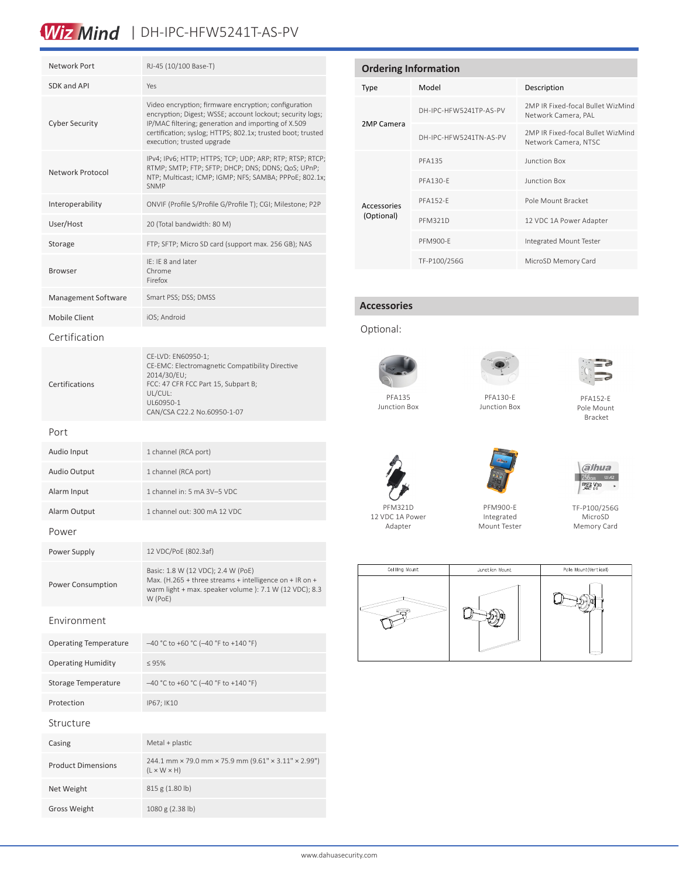## Wiz Mind | DH-IPC-HFW5241T-AS-PV

| Network Port                 | RJ-45 (10/100 Base-T)                                                                                                                                                                                                                                                 |  |  |  |  |
|------------------------------|-----------------------------------------------------------------------------------------------------------------------------------------------------------------------------------------------------------------------------------------------------------------------|--|--|--|--|
| SDK and API                  | Yes                                                                                                                                                                                                                                                                   |  |  |  |  |
| <b>Cyber Security</b>        | Video encryption; firmware encryption; configuration<br>encryption; Digest; WSSE; account lockout; security logs;<br>IP/MAC filtering; generation and importing of X.509<br>certification; syslog; HTTPS; 802.1x; trusted boot; trusted<br>execution; trusted upgrade |  |  |  |  |
| Network Protocol             | IPv4; IPv6; HTTP; HTTPS; TCP; UDP; ARP; RTP; RTSP; RTCP;<br>RTMP; SMTP; FTP; SFTP; DHCP; DNS; DDNS; QoS; UPnP;<br>NTP; Multicast; ICMP; IGMP; NFS; SAMBA; PPPoE; 802.1x;<br><b>SNMP</b>                                                                               |  |  |  |  |
| Interoperability             | ONVIF (Profile S/Profile G/Profile T); CGI; Milestone; P2P                                                                                                                                                                                                            |  |  |  |  |
| User/Host                    | 20 (Total bandwidth: 80 M)                                                                                                                                                                                                                                            |  |  |  |  |
| Storage                      | FTP; SFTP; Micro SD card (support max. 256 GB); NAS                                                                                                                                                                                                                   |  |  |  |  |
| <b>Browser</b>               | IE: IE 8 and later<br>Chrome<br>Firefox                                                                                                                                                                                                                               |  |  |  |  |
| Management Software          | Smart PSS; DSS; DMSS                                                                                                                                                                                                                                                  |  |  |  |  |
| Mobile Client                | iOS; Android                                                                                                                                                                                                                                                          |  |  |  |  |
| Certification                |                                                                                                                                                                                                                                                                       |  |  |  |  |
| Certifications               | CE-LVD: EN60950-1;<br>CE-EMC: Electromagnetic Compatibility Directive<br>2014/30/EU;<br>FCC: 47 CFR FCC Part 15, Subpart B;<br>UL/CUL:<br>UL60950-1<br>CAN/CSA C22.2 No.60950-1-07                                                                                    |  |  |  |  |
| Port                         |                                                                                                                                                                                                                                                                       |  |  |  |  |
| Audio Input                  | 1 channel (RCA port)                                                                                                                                                                                                                                                  |  |  |  |  |
| <b>Audio Output</b>          | 1 channel (RCA port)                                                                                                                                                                                                                                                  |  |  |  |  |
| Alarm Input                  | 1 channel in: 5 mA 3V-5 VDC                                                                                                                                                                                                                                           |  |  |  |  |
| Alarm Output                 | 1 channel out: 300 mA 12 VDC                                                                                                                                                                                                                                          |  |  |  |  |
| Power                        |                                                                                                                                                                                                                                                                       |  |  |  |  |
| Power Supply                 | 12 VDC/PoE (802.3af)                                                                                                                                                                                                                                                  |  |  |  |  |
| <b>Power Consumption</b>     | Basic: 1.8 W (12 VDC); 2.4 W (PoE)<br>Max. (H.265 + three streams + intelligence on + IR on +<br>warm light + max. speaker volume ): 7.1 W (12 VDC); 8.3<br>W (PoE)                                                                                                   |  |  |  |  |
| Fnvironment                  |                                                                                                                                                                                                                                                                       |  |  |  |  |
| <b>Operating Temperature</b> | $-40$ °C to +60 °C (-40 °F to +140 °F)                                                                                                                                                                                                                                |  |  |  |  |
| <b>Operating Humidity</b>    | $\leq 95\%$                                                                                                                                                                                                                                                           |  |  |  |  |
| Storage Temperature          | $-40$ °C to +60 °C (-40 °F to +140 °F)                                                                                                                                                                                                                                |  |  |  |  |
| Protection                   | IP67; IK10                                                                                                                                                                                                                                                            |  |  |  |  |
| Structure                    |                                                                                                                                                                                                                                                                       |  |  |  |  |
| Casing                       | Metal + plastic                                                                                                                                                                                                                                                       |  |  |  |  |
| <b>Product Dimensions</b>    | 244.1 mm × 79.0 mm × 75.9 mm (9.61" × 3.11" × 2.99")<br>$(L \times W \times H)$                                                                                                                                                                                       |  |  |  |  |
| Net Weight                   | 815 g (1.80 b)                                                                                                                                                                                                                                                        |  |  |  |  |
| <b>Gross Weight</b>          | 1080 g (2.38 lb)                                                                                                                                                                                                                                                      |  |  |  |  |

| <b>Ordering Information</b> |                        |                                                           |  |  |
|-----------------------------|------------------------|-----------------------------------------------------------|--|--|
| Type                        | Model                  | Description                                               |  |  |
| 2MP Camera                  | DH-IPC-HFW5241TP-AS-PV | 2MP IR Fixed-focal Bullet WizMind<br>Network Camera, PAL  |  |  |
|                             | DH-IPC-HFW5241TN-AS-PV | 2MP IR Fixed-focal Bullet WizMind<br>Network Camera, NTSC |  |  |
|                             | <b>PFA135</b>          | <b>Junction Box</b>                                       |  |  |
|                             | <b>PFA130-F</b>        | <b>Junction Box</b>                                       |  |  |
| Accessories                 | <b>PFA152-F</b>        | Pole Mount Bracket                                        |  |  |
| (Optional)                  | <b>PFM321D</b>         | 12 VDC 1A Power Adapter                                   |  |  |
|                             | <b>PFM900-F</b>        | Integrated Mount Tester                                   |  |  |
|                             | TF-P100/256G           | MicroSD Memory Card                                       |  |  |

#### **Accessories**

Optional:



Junction Box



PFA130-E Junction Box



PFA152-E Pole Mount Bracket



PFM900-E Integrated Mount Tester



TF-P100/256G MicroSD Memory Card



PFM321D 12 VDC 1A Power Adapter

www.dahuasecurity.com